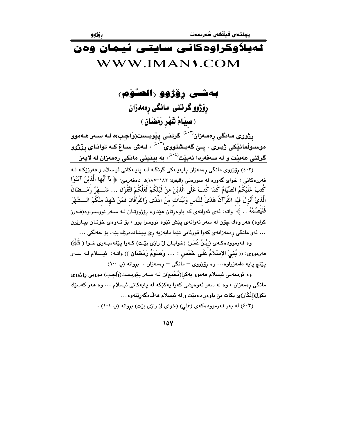# لەيلاۋكراۋەكانىي سايتىي ئىمان ۋەن WWW.IMAN1.COM

بەشى رۆژوو (الصوْم) رۆژوو گرتنى مانگى رەمەزان (صِيَامُ شَهْرِ رَمَضَانِ )

یژووی مانگی پەمەزان<sup>(٤٠٢)</sup> گرتنى پێویست(وَاجِب)ە لـه سـەر ھـﻪموو موسـولْمانیْکی ژیـری ، پـێ گەیـشتووی $\langle \cdot, \cdot \rangle$  لـهش سـاغ کـه توانـای پۆژوو گرتنی ههبیت و له سهفهردا نهبیت<sup>(۶۰٤)</sup>، به بینینی مانکی رِهمهزان له لایهن

(٤٠٢) پۆژووي مانگي پەمەزان پايەيـەكى گرنگـه لـه پايـهكاني ئيـسلام و فەرزێكـه لـه فه رزهکانی ، خوای گهوره له سورهتی (البقرة: ۱۸۲–۱۸۰)دا دهفهرمیّ: ﴿ يَآ أَيُّهَا الَّذِيْنَ آمَنُوْا كُتبَ عَلَيْكُمُ الصِّيَامُ كَمَا كُتبَ عَلَى الَّذيْنَ منْ قَبْلِكُمْ لَعَلَّكُمْ تَتَّقُوْن … شَـــهْرُ رَمَـــضَانَ الَّذِيْ أَنْزِلَ فيْه القُرْآنُ هُدَىَّ للنَّاسِ وَبَيِّنَاتٍ مِنَ اهْدَى وَالفُرْقَانِ فَمَنْ شَهِدَ منْكُمُ الـــشَّهْرَ فَلْیَصُمْهُ . . ﴾ واته: ئەی ئەوانەی کە باوەرتان میناوە روزووتـان لـه سـەر نووسـراوە(فـەرز کراوه) هەر وەك چۆن لە سەر ئەوانەي يێش ئێوە نووسرا بوو ، بۆ ئـەوەي خۆتـان بيـارێزن … ئەو مانگى رەمەزانەي كەوا قورئانى تێدا دابەزيە رێ پيشاندەرێك بێت بۆ خەڵكى …

وه فهرموودهکهي (إِبْنُ عُمَرٍ) (خوايان ليّ رازي بيّت) کـهوا يێغهمبـهري خـوا ( ﷺ) فهرمووى: (( بُنْبَىَ الإِسْلاَمُ عَلَى خَمْس : ... وَصَوْمُ رَمَضْاَنِ )) واتـه: ئيـسلام لـه سـهر پێنچ پایه دامهزراوه... وه پۆژووی <sup>–</sup> مانگی <sup>–</sup> پهمهزان . بروانه (پ ۱۰۰)

وه ئوممەتى ئيسلام ھەموو يەكرا(مُجْمع)ن لـه سـەر پێويـست(وَاجـب) بـوونى رێژژوى مانگی رەمەزان ، وە لە سەر ئەوەيشى كەوا يەكێكە لە يايەكانى ئىسلام … وە ھەر كەسێك نکۆل(اِنْکَار)ی بکات بیْ باوەر دەبێت و له ئیسلام ھەلدەگەرێتەوە…

(٤٠٣) له بهر فهرموودهكهى (عَلى) (خواى ليِّ رازى بيِّت) بروانه (پ ١٠١) .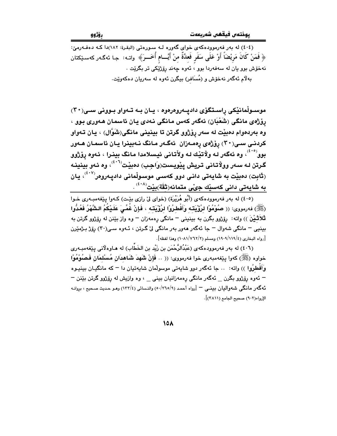(٤٠٤) له بهر فهرموودهکهی خوای گهوره لـه سـورهتی (البقرة: ١٨٢)دا کـه دهفـهرمیّ: ﴿ فَمَنْ كَانَ مَرِيْضَاً أَوْ عَلَى سَفَرٍ فَعِدَّةٌ منْ أَيَّـــام أُخَـــرَ﴾ واتــه: جـا ئـهگـهر كهسـێكتان نهخۆش بوو يان له سەفەردا بوو ، ئەوە چەند رۆژێِکى تر بگرێت . بهلام ئەگەر نەخۆش و (مُسَافر) بېگرن ئەوە لە سەريان دەكەوێت.

موسىولْمانێكى راسىتگۆى داديـەروەرەوە ، يـان بـه تـەواو بـوونى سـى(٣٠) رِوْژْهِي مانگي (شَعْبَان) ئەگەر كەس مانگى نەدى يان ئاسمان ھەورى بوو ، وه بهردموام دمييت له سهر روْژوو گرتن تا بينيني مانگي(شَوَّال) ، يان تـهواو کردنـی سـی(۳۰) رۆژەی رەمـەزان ئەگـەر مـانگ نـەبينرا يـان ئاسمـان ھـەور بوو<sup>(۴۰۵)</sup>، وه ئەگەر لـه ولاتيْك لـه ولأتـانى ئيسلامدا مـانگ بينـرا ، ئـهوه رۆژوو گرتن لـه سـهر وولاتـانی تـريش پێويـست(وَاجـب) دمبێت $^{(f+1)}$ ، وه ئـهو بينينـه (تَابِت) دەبێت بە شايەتى دانـى دوو كەسـى موسىولْمانى دادپـەروەر<sup>(٤٠٧)</sup>، يـان به شايەتى دانى كەسێك جىّى متمانە(ثقّة)بێت<sup>(٤٠٨)</sup> .

.<br>(٤٠٥) له بهر فهرموودهکهي (أَبُو هُرَيْرَة) (خواي ليّ رازي بيّـت) کـهوا بيێغهمبـهري خـوا (ﷺ) فەرمورى: (( صُوْمُوْا لرُؤْيَتَـه وَأَفْطرُوْا لرُؤْيَتَـه ، فَإِنْ غُمِّيَ عَلَـيْكُمُ الشُّهْرُ فَعُدُّوا .<br>**تَلاَثْـيْنَ** )) واته: رۆژوو بگرن به بينينې <sup>—</sup> مانگې رەمەزان <sup>—</sup> وه واز بێنن له رۆژوو گرتن به بينيي – مانگي شەوال – جا ئەگەر ھەور بەر مانگي ليْ گـرتن ، ئـەوە سـي(٣٠) رۆژ بـژمێرن [رواه البخاري (٤/١١٩/١٩) ومسلم (٢/٧٦٢) (١٠٨١/٥) وهذا لفظه].

(٤٠٦) له بهر فهرموودهکهی (عَبْدُالرَّحْمَن بن زَیْد بن الخَطَّاب) له هـاوهلانی پیٚفهمبـهری خواوه (ﷺ) كەوا يێغەمبەرى خوا فەرمووى: (( .. فَإِنْ شَهِدَ شَاهدَان مُسْلمَان فَصُوْمُوْا وَأَفْطِرُوا )) واته: .. جا ئەگەر دوو شايەتى موسولْمان شايەتيان دا <sup>ـــ</sup> كە مانگيـان بينيـوە – ئەوە رۆژوو بگرن \_ ئەگەر مانگى رەمەزانيان بينى \_ ، وە وازيش لە رۆژوو گرتن بێنن <sup>\_</sup> ئهگەر مانگى شەواليان بينـي – [رواه أحمد (٢٦٥/٩) والنسائي (١٣٣/٤) وهـو حـديث صـحيح ، بروانـه الإرواء(٩٠٢) صحيح الحامع (٣٨١١)].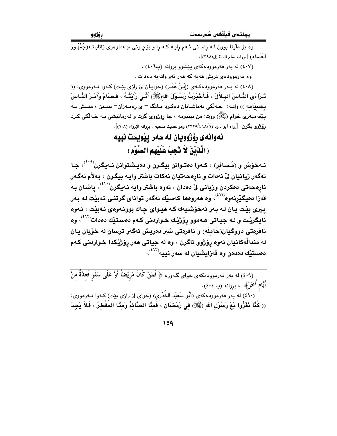.<br>وه بۆ دلينا بوون لــه راســتي ئــهم رايــه كــه را و بۆچــونى جــهماوهرى زانايانــه(جُمْهُــور العُلَماء) [بروانه تمام المنة (ل:٣٩٨)].

(٤٠٧) له بهر فهرمووده كهى ييشوو بروانه (پ٦٠٦).

وه فهرموودهی تریش ههیه که ههر ئهو واتهیه دهدات .

(٤٠٨) له بـهر فهرموودهكـهي (إِبْنُ عُمَـرٍ) (خوايـان ليّ رازي بيّـت) كـهوا فـهرمووي: (( تَـرَاءَى الذَّاسُ الهـلاَلَ ، فَـأَـخْبَرْتُ رَسُـوْلَ اللهِ(ﷺ) أَشَّى رَأَيْتُـهُ ، فَـصَامَ وَأَمَـرَ الذَّاسَ بصيامه )) واتـه: خـهلكي تهماشـايان دهكـرد مـانگ - ى رهمـهزان- ببيـنن ، منـيش بـه يێغەمبەرى خوام (ﷺ) ووت: من بينيومە ، جا رۆژووى گرت و فەرمانيشى بـە خـەڵكى كـرد رۆژۈو بىگرن [رواه أبو داود (٤٦٨/٦/٢٢٢٥) وهو حديث صحيح ، بروانه الإرواء (٩٠٨)].

> ئەوانەى رۆژوويان لە سەر يێويست نييە (الَّدْيْنَ لاَ تَجِبُ عَلَيْهِم الصَّوْمِ )

نـهخوش و (مُـسَافِر) ، كـهوا دهتـوانن بيگـرن و دهيـشتوانن نـهيگرن<sup>(٤٠٩)</sup>، جـا ئەگەر زيانيان لْى نەدات و نارەحەتيان نەكات باشتر وايـه بيگـرن ، بـەلأم ئەگـەر نارهحەتى دەكردن وزيانى لىّ دەدان ، ئەوە باشتر وايە نـەيگرن<sup>‹٬٬٬</sup>٬ پاشان بـە قەزا دەيگێرنەوە<sup>‹‹‹›</sup>› وە ھەروەھا كەسىيك ئەگەر تواناي گرتنى نەبيت لـە بـەر ييري بيّت يان لـه بـهر نهخوّشـيهك كـه هيـواي چاك بوونـهوهي نـهبيّت ، ئـهوه نايگريٽ و لـه جيـاتي هـهموو روُڙيْك خـواردني كـهم دهسـتيّك دهدات<sup>(٤١٢)</sup>، وه ئافرەتى دووگيان(حَاملَه) و ئافرەتى شير دەريش ئەگەر ترسان لە خۆيان يان له مندالْهکانيان ئەوە رۆژوو ناگرن ، وه له جياتی هەر رۆژێکدا خواردنی کەم دەستيْك دەدەن وە قەزايشيان لە سەر نييە<sup>(٤١٣)</sup>،

(٤٠٩) له بهر فهرموودهکهى خواى گـهوره ﴿ فَمَنْ كَانَ مَرِيْضَاً أَوْ عَلَى سَفَرٍ فَعِدَّةٌ مِنْ أَيَّام أُخَرَ﴾ ، بروانه (پ ٤٠٤).

(٤١٠) له بهر فهرموودهکهي (أَبُو سَعيْد الخُدْريِ) (خواي ليٌ رازي بيّت) کـهوا فـهرمووي: (( كُنَّا نَعْزُوا مَعَ رَسُوْلِ الله (ﷺ) في رَمَضَان ، فَمِنَّا الصَّائِمُ وَمِنَّا المُفْطِرُ ، فَلاَ يَجِدُ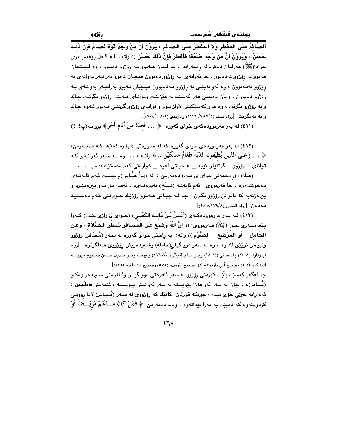الصَّائمُ عَلَى المُفْطر وَلاَ المُفْطرُ عَلَى الصَّائم ، يَرَوْنَ أَنَّ منْ وَجَدَ قُوَّةً فَصَامَ فَإِنَّ ذَلك حَسَنٌ ، وَيَرَوْنَ أَنَّ مَنْ وَجَدَ صَعْفَاً فَأَفَطَرَ فَإِنَّ ذَلكَ حَسَنٌ )) واته: لـه گـهڵ بيێفهمبـهري خوادا(ﷺ) غەزامان دەكرد لە رەمەزاندا ، جا لێمان ھـﻪبوو بـﻪ رۆژوو دەبـوو ، وە لێپـشمان ههبوو به رۆژوو نهدهبوو ، جا ئەوانەي بە رۆژوو دەبوون هيچيان نەبوو بەرانبەر بەوانەي بە رۆژوو نەدەبوون ، وە ئەوانەيشى بە رۆژوو نـەدەبوون ھېچپان نـەبوو بەرانىـەر بەوانـەي بـە رۆژوو دەبوون ، وايان دەبينى ھەر كەسىيك بە ھێزبيٽت وتوانـاي ھــەبيّت رۆژوو بگريّت چـاك وابه رۆژوو بگريّت ، وه هەر كەسێكيش لاواز بـوو و توانـاي رۆژوو گرتنـي نـەبوو ئـەوە جـاك وابيه نـهـيـگـرێيت [رواه مسلم (٧٨٧/٢/ ١١١٦) والترمذي (٧٠٨/١٠٨/٢)].

(٤١١) له بهر فهرموودهکهي خواي گهوره: ﴿ ... فَعِلَّةٌ منْ أَيَّام أُخَرٍ﴾ بروانـه(پ٤٠٤)

(٤١٢) له بهر فهرموودهي خواي گهوره كه له سورهتي (البقره:١٨٤)دا كـه دهفـهرميّ: ﴿ … وَعَلَى الَّذِيْنَ يُطَيْقُوْنَهُ فَدْيَةً طَعَامُ مسْكَيْن …﴾ واتــه : … وه لــه ســهر ئـهوانــهى كــه توانای – رِۆِژْوو – گرتنیان نییه \_ له جیاتی ئهوه \_ خواردنی کهم دهستیّك بدهن ... .

(عَطَاء) (رەحمەتى خواي لِيْ بِيْت) دەفەرمىّ : له (إِبْنُ عَبَّاس)م بيـست ئـهم ئايەتـەي دەخوێندەوە ، جا فەرمووى: ئەم ئايەتـە (نَـسْخ) نەبوەتـەوە ، ئەمـە بـۆ ئـەو يىرەمێـرد و پ<del>ي</del>ره ژنهيه که ناتوانن پۆژوو بگـرن ، جـا لـه جيـاتی هـهموو رۆژێـك خـواردنی كـهم دهسـتێك دهدهن [رواه البخاري(١٧٩/١٧٩/١٤٥٠٥)].

(٤١٣) لـه بـهر فهرموودهكـهي (أَنَـسُ بْـنُ مَالـك الكَعْبـي) (خـواي ليّ رازي بيّـت) كـهوا ينِغهمبـهري خـوا (ﷺ) فـهرمووي: (( إنَّ اللهَ وَضَـعَ عَنِ المُسافِرِ شَطْرَ الـصَّلاَة ، وَعنِ الحَامل \_ أَو المُرْضَع \_ الصَّوْمَ )) واته: به راستی خوای گەورە له سـهر (مُـسَافر) رۆِژْوو ونيوهي نوێژي لاداوه ، وه له سهر دوو گيان(حَاملَة) وشــيردهريش رۆژووي هــهڵگرتوه 「رواه أبــوداود (٢٤٠٨) والنــسائي (١٨٠/٤) وإبــن مــاجــة (١/رقــم/١٦٦٧) وغيرهــم وهــو حــديث حــسن صــحيح ، بروانــه المشكاة(٢٠٢٥) وصحيح أبي داوب(٢٠٨٢) وصحيح الترمذي (٥٧٥) وصحيح إبن ماجه(١٣٥٢)].

جا ئەگەر كەسێك بلّێت لابردنى رۆژوو لە سەر ئافرەتى دوو گيـان وئـافرەتى شـىردەر وەكـو (مُسَافِر)ه ، چۆن له سەر ئەو قەزا يێويستە لە سەر ئەوانيش يێويستە ، ئێمەيش دەڵێێين : ئهم رايه جيٌي خوّي نييه ، چونکه قورئان کاتێك که رۆژووي له سـهر (مُـسَافر) لادا روونـي كردوهتەوه كە دەبێت بە قەزا بىداتەوە ، وەك دەڧەرمێ: ﴿ فَمَنْ كَانَ مَـــنْكُمْ مَريْـــضَاً أَوْ

 $11.$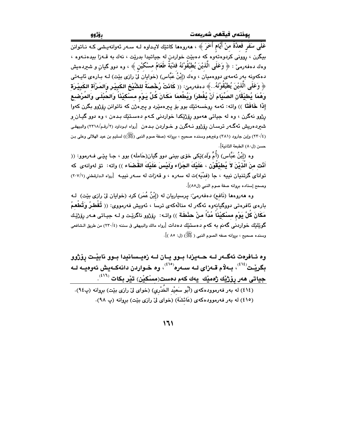عَلَى سَفَرٍ فَعلَّةٌ منْ أَيَّام أُخَرَ ﴾ ، هەروەها كاتێك لايـداوە لـه سـەر ئەوإنەيـشى كـه نــاتوانن بيگرن ، روونى كردوهتەوه كه دەبيّت خواردن له جياتيدا بدريّت ، نهك به قـهزا بيدەنـهوه ، وهك دهفهرميّ : ﴿ وَعَلَمِي الَّذِيْنَ يُطَيَّقُوْنَهُ فَدْيَةٌ طَعَامُ مسْكَيْنٍ ﴾ ، وه دوو گيان و شيردهيش دهکەونە بەر ئەمەي دووەميان ، وەك (إِبْنُ عَبَّاس) (خوايان لَیْ رازی بیّت) لـه بـارەی ئايـەتى ﴿ وَعَلَى الَّذِيْنَ يُطِيْقُونَهُ.. ﴾ دهفهرميّ: ﴿( كَانَتْ رُحْصَنَةً للشَّيْخِ الكَبِيْرِ وَالمَرْأَة الكَبِيْرَة وَهُمَا يُطِيْقَانَ الصِّيَامَ أَنْ يُفْطرَا وَيُطْعِمَا مَكَانَ كُلِّ يَوْمِ مسْكِيْنَاً وَالحُبْلَى وَالمُرْضع إِذَا خَافَقَا )) واته: ئەمە روخسەتێك بوو بۆ پىرەمێرد و پىرەژن كە ناتوانن رۆژوو بگرن كەوا رژوو نهگرن ، وه له جياتي ههموو رۆژێکدا خواردني کـهم دهسـتێك بـدهن ، وه دوو گيـان و شعردهریش ئهگـهر ترسـان رۆژوو نـهگرن و خـواردن بـدهن [رواه ابـوداود (۲/رقـم/۲۱۸) والبیهقـی (٢٢٠/٤) وإبن جارود (٣٨١) وغيرهم وسنده صحيح ، بروانه (صفة صوم النبي (ﷺ)) لسليم بن عيد الهلالي وعلى بـن حسن (ل٨٠) الطبعة الثانية].

وه (إِبْنُ عَبَّاس) (أُمِّ وَلَد)ێِکی خۆی بینی دوو گیان(حَاملَه) بوو ، جـا بـێـی فـهرموو: (( أَنُّت منَ الَّذيْنَ لاَ يُطيْقُوْن ، عَلَيْكَ الجَزَاء ولَيْسَ عَلَيْكَ القَضَاء )) واته: توْ لهوانهى كه توانای گرتنیان نییه ، جا (فدّیَه)ت له سهره ، و قهزات له سـهر نییـه [رواه الـدارقطنی (٢٠٧/١) وصحح إسناده بروانه صفة صوم النبي (ل٨٥)].

وه هەروەها (نَافع) دەفەرمىؒ: پرسپاريان لە (إِبْنُ عُمَرٍ) كرد (خوايان لِّيْ رازِي بِيّت) لـه بارەي ئافرەتى دووگيانەوە ئەگەر لە منالەكەي ترسا ، ئەويش فەرمووى: (( تُفْطِرُ وَتُطْعِمُ مَكَانَ كُلَّ يَوْم مسْكَيْنَا مُدَّا منْ حِنْطَة )) واتـه: رۆِژوو ناگرِيْت و لـه جيـاتي مـهر رۆِژِيْـك گوێِلێِك خواردنُم گەنم بە كەم دەستێِك دەدات [رواه مالك والبيهقى فى سننە (٢٢٠/٤) من طريق الـشافعى وسنده صحيح ، بروانه صفه الصوم النبي ( ﷺ) (ل: ٨٥ )].

وه ئـافرهت ئهگــهر لــه حــهيزدا بــوو يــان لــه زهيــسانيدا بــوو نابيّـت روّروو بگريـْـت<sup>(٤١٤)</sup>، بـهلام قـهزای لـه سـهره<sup>(٤١٥)</sup>، وه خـواردن دانهكـهيش ئهوهيـه لـه جياتى *هە*ر <u>پۆژن</u>ك ژەمێك يەك كەم دەست(مسْكيْن) تێر بكات <sup>(٤١٦)</sup>.

(٤١٤) له بهر فهرموودهكهى (أَبُو سَعيْد الخُدْريِ) (خواى ليّ رازى بيّت) برِوانه (پ٩٤). (٤١٥) له بهر فهرموودهكهى (عَائشَة) (خواى ليِّ رازى بيِّت) بروانه (پ ٩٨).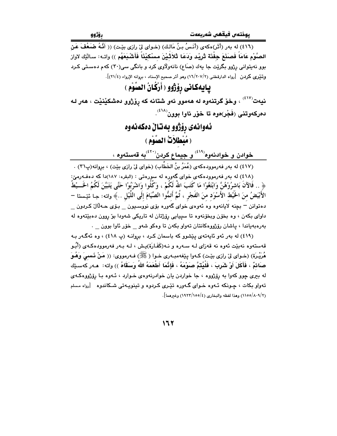.<br>(٤١٦) له بهر (أَثَر)هكهى (أَنَـسُ بنُ مَالـك) (خـواى ليّ رازى بيّـت) (( أَنَّـهُ ضَعَفَ عَنِ الصَّوْمِ عَامَاً فَصَنَعَ حِفْنَة ثَرِيْد وَدَعَا ثَلاَثَـٰيْنَ مسْكيْنَاً فَأَشْـبَعَهُم ﴾) واتـه: سـالَيْك لاواز بوو نهیتوانی رژوو بگرێت جا یهك (صَاع) نانهولاوی كرد و بانگی سی(۳۰) كهم دهستی كـرد وتنيرى كردن [رواه الدارقطني (١٦/٢٠٧/٢) وهو أثر صحيح الإسناد ، بروانه الإرواء (٢١/٤)].

## يايهكاني رؤِژوو ( أَرْكُانُ الصَّوْم )

نيەت<sup>(٤١٧)</sup> ، وخۆ گرتنەوە لە ھەموو ئەو شتانە كە رۆژوو دەشكێنێت ، ھەر لە دەركەوتنى (فَجْر)ەوە تا خۆر ئاوا بوون<sup>(٤١٨)</sup>.

### ئەوانەي رۆژوو ىەتالْ دەكەنەوە ( مُبْطَلاَتْ الصَّوْم )

خوادن و خوادنهوه<sup>(٤١٩)</sup> و جيماع كردن<sup>(٤٢٠)</sup>به قهستهوه ،

(٤١٧) له بەر فەرموودەكەي (عُمَرُ بنُ الخَطَّابِ) (خواي لِيِّ رازِي بِيّت) ، بروانە(پ٣١) . (٤١٨) له بهر فهرموودهکهي خواي گهوره له سورهتي : (البقره: ١٨٧)دا که دهفـهرميّ: ﴿ .. فَالآنَ بَاشرُوْهُنَّ وَابْتَغُوْا مَا كَتَبَ اللّهُ لَكُمْ ، وَكُلُوا وَاشْرَبُوْا حَتَّى يَتَبَيَّنَ لَكُمُ الخَــيْطُ الأَبْيَضُ منَ الخَّيْط الأَسْوَد منَ الفَجْرِ ، ثُمَّ أَتمُّوا الصِّيَامَ إلَى اللَّيْل ..﴾ واته: جا نُيٚستا – دهتوانن – بچنه لایانهوه وه ئهوهي خواي گهوره بۆي نووسـيون \_ بـۆي حــهڵال کـردون \_ داواي بکهن ، وه بخوّن ويخوّنهوه تا سيپايي روّژتان له تاريکي شهودا بوّ روون دهبێتهوه له بەرەبەياندا ، ياشان رۆژووەكانتان تەواو بكەن تا وەكو شەو ھخۆر ئاوا بوون مى

(٤١٩) له بهر ئهو ئايهتهى ييشوو كه باسمان كرد ، بروانـه (پ ٤١٨) ، وه ئهگـهر بـه قەستەوە نەبێت ئەوە نە قەزاي لـە سـەرە و نـە(كَفَـارَة)يـش ، لـە بـەر فەرموودەكـەي (أَبُـو هُرَيْـرَة) (خـواي ليّ رازي بێـت) كـهوا يێغهمبـهري خـوا ( ﷺ) فـهرمووي: (( مَنْ فَـسـِيَ وَهُـوَ صَائمٌ ، فَأَكَلَ أَوْ شَرِبَ ، فَلْيُتَمَّ صَوْمَهُ ، فَإِنَّمَا أَطْعَمَهُ اللهُ وَسَقَاهُ )) واته: هـەر كەسـێك له بيري چوو كهوا به رۆژووه ، جا خواردن يان خوادرنهوهي خـوارد ، ئـهوه بـا رۆژووهكـهي .<br>تهواو بکات ، چـونکه ئـهوه خـوای گـهوره تێـِری کـردوه و تینویـهتی شـکاندوه [رواه مـسلم (١١٥٥/٨٠٩/٢) وهذا لفظه والبخاري (٤/١٩٢٣/١٥٥) وغيرهما].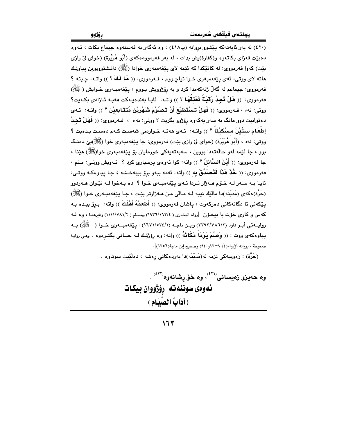(٤٢٠) له بهر ئايەتەكە يېشوو بروانه (پ٤١٨) ، وه ئەگەر بە قەستەوە جيماع بكات ، ئـەوە دهبيّت قەزاي بكاتەوه و(كَفَارَة)يش بدات ، له بەر فەرموودەكەي (أَبُو هُرَيْرَة) (خواي ليْ رازي بِيّتِ) کەوا فەرمووى: لە کاتێِکدا کە ئێمە لاي پێفەمبەرى خوادا (ﷺ) دانـشتووبوين پياوێـك هاته لاي ووتي: ئەي يێغەمبەرى خـوا تياچـووم ، فـەرمووي: (( مَا لَكَ ؟ )) واتــه: چـيته ؟ فهرمووی: جیماعم له گهڵ ژنهکهمدا کرد و به رِۆژوویش بـووم ، پێغهمبـهری خـوایش ( ﷺ) فەرمووى: (( هَلْ تَجِدُ رَقَبَةُ تَعْتَقَهَا ؟ )) واتـه: ئايـا بەندەيـەكت ھەيـە ئـازادى بكـەيت؟ ووتي: نهء ، فـهرمووي: (( فَهَلْ تَسْتَطيْعَ أَنْ تَصوُوْمَ شَهْرَيْنِ مُتَتَبابِعِيْنِ ؟ )) واتـه: ئـهي دهتوانيت دوو مانگ به سەر يەكەوە رۆژوو بگريت ؟ ووتى: نەء ، فــەرمووى: (( فَهَلْ تَـْجِـدُ إطْعَامِ ستِّيْنَ مسْكيْنَاً ؟ )) واتـه: ئـهي ههتـه خـواردني شهسـت كـهم دهسـت بـدهيت ؟ ووتي: نهء ، (أَبُو هُرَيْرَة) (خواي ليْ رازي بِيْت) فهرمووي: جا پيَغهمبهري خوا (ﷺ)بيِّ دهنگ بوو ، جا ئٽمه لهو حالّهتهدا بووين ، سهڢتهيهکي خورمايان بۆ پٽغهمبهري خوا(ﷺ) هێنا ، جا فهرمووي: (( أَيْنَ السَّائلُ ؟ )) واته: كوا ئهوهي يرسياري كرد ؟ ئـهويش ووتـي: مـنم ، فهرمووي: (( خُلْا هَذَا فَتَصَلَّقْ بِه )) وإنه: ئهمه بيهو برق بيبهخشه ، جـا پياوهكـه ووتـي: ئايا بـه سـهر لـه خـوّم هـهزار تـردا ئـهى يێغهمبـهى خـوا ؟ ده بـهخوا لـه نێـوان هـهردوو (حَرَّة)هكەي (مَديْنَه)دا مالّيّك نييە لـه مـالّي مـن هـەژارتر بيّـت ، جـا يـيّغهمبـەرى خـوا (ﷺ) يێِکەنى تا دگانەکانى دەرکەوت ، ياشان فەرمووى: (( أَطْعِمْهُ أَهْلَكَ )) واتە: برۆ بيدە بـە كهس و كارى خوّت با بيخـوّن [رواه البخـارى ( ١٩٣٦/١٦٣/٤) ومسلم ( ١١١١//٧٨١/٢) وغيرهمـا ، وه لــه روابسه تي أبيو داوڊ (٢/٣٩٢/٧٨٦) وابين ماجيه (١/١٦٧١/٥٣٤) : بيٽغه ميسه ري خيوا ( هَ ﷺ) بيه يياوهكهى ووت : (( وَصُمْ يَوْمَاً مَكَانَهُ )) واته: وه روْژَيْك لـه جيـاتى بگێرهوه . ومـى روايـة صحيحة ، بروانه الإرواء(٤/-٩-٩٢و١٤) وصحيح إبن ماجة(١٣٥٦)].

(حَرَّة) : زەوپيەكى نزمە لە(مَديْنَه)دا بەردەكانى رِەشە ، دەلْيٚيت سوتاوە .

وه حەيزو زەيسانى<sup>(۲۱)</sup>، وه خۆ رشانەوه<sup>(۲۲)</sup> . ئەوەي سوننەتە رۆژووان بيكات ( آدَابُ الْصَلَّيَامِ )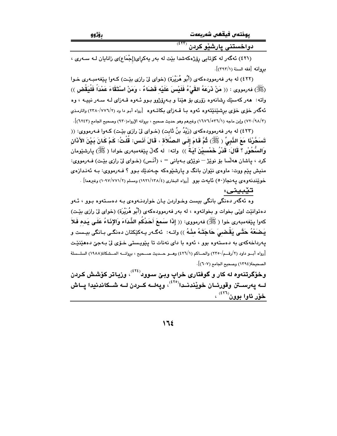| روّزوو | پوختەں فيقھى شەريعەت |
|--------|----------------------|
|        | دواخستني يارشێو کردن |

(٤٢١) ئەگەر لە كۆتايى رۆژەكەشدا بێت لە بەر يەكراى(إجْمَاع)ى زانايان لـه سـەرى ، بروانه [فقه السنة (٢٩٢/١)].

(٤٢٢) له بهر فهرموودهکهی (أَبُو هُرَيْرَة) (خوای ليّ رازی بێت) کـهوا پێفهمبـهری خـوا (ﷺ) فەرمورى : (( مَنْ ذَرَعَهُ القَيْءُ فَلَيْسَ عَلَيْه قَصْبَاءٌ ، وَمَنْ اسْتَقَاءَ عَمْدَاً فَلْيَقْض )) واته: هەر كەسىيّك رشانەوە زۆرى بۆ هيّنا و بـەرۆژوو بـوو ئـەوە قـەزاى لـە سـەر نييــە ، وە ئهگەر خۆی خۆی بېشنینیتموه ئەوه بـا قــەزای بکاتــەوه [رواه أبـو دا ود (٢/٧٧٦/٢) والترمـذی (٢/٩٨/١/) وإبن ماجه (١٦٧٦/٥٣٦/١) وغيرهم وهو حديث صحيح ، بروانه الإرواء(٩٣٠) وصحيح الجامع (٦٢٤٢)].

(٤٢٣) له بهر فهرموودهکهي (زَيْدُ بنُ ثَابِت) (خـواي ليّ رازي بِيّـت) کـهوا فـهرمووي: (( تَسَحَّرْنَا مَعَ النَّبِيِّ ( ﷺ) ثُمَّ قَامَ إِلَـى الـصَّلَاة ، قَالَ أنَـس: قُلْتُ: كَمْ كَـانَ بَـيْنَ الأذَان وَالسُّحُوْرِ ؟ قَالَ: قَدْرُ خَمْسيْنَ آبَـةً )) واته: له گەلْ بيێغەمبەرى خوادا ( ﷺ) پارشێومان كرد ، پاشان هەلسا بۆ نوێز – نوێژي بـهياني – ، (أَنَس) (خـواي ليٌ رازي بێت) فـهرمووي: منيش پَيْم ووت: ماوهي نَٽِوان بانگ و پارشٽوهکه چـهندٽِك بـوو ؟ فـهرمووي: بـه ئـهنـدازهي خوێندنه<code>ووی یه</code>نجا(٥٠) نایهت بوو [رواه البخاری (١٩٢١/١٣٨/٤) ومسلم (١٠٩٧/٧٧١/٢) وغیرهما].

#### تێبيني:

.<br>وه ئەگەر دەنگى بانگى بيست وخـواردن يـان خواردنــەوەي بــه دەســتەوە بـوو ، ئــەو دهتوانێت ليٌبي بخوات و بخواتهوه ، له بهر فهرموودهکهي (أَبُو هُرَيْرَة) (خواي ليٌ رازي بێت) كهوا بِيَغْه،بهرى خوا ( ﷺ) فهرمووى: (( إِذَا سَمَعَ أَحَدُكُم الشِّدَاءَ وَالإِذَاءُ عَلَى يَده فَلاَ يَـضَعْهُ حَتَّـى يَقْـضـىَ حَاجَتَـهُ مثْـهُ )) واتـه: ئەگـەر بـەكێكتان دەنگـى بـانگى بيـست و پەرداخەكەي بە دەستەوە بوو ، ئەوە با داي نەنات تا يێويستى خـۆي لى بـەجىّ دەھێنێت [رواه أبــو داود (٢/رقــم/٢٣٥٠) والحــاكم (٤٢٦/١) وهــو حــديث صــحيح ، بروانـــه المــشكاة(١٩٨٨) السلــسلة الصحيحة(١٣٩٤) وصحيح الجامع (٦٠٧)].

وخۆگرتنهوه له کار و گوفتاری خراپ وبێ سوود<sup>(٤٢٤)</sup>، وزیاتر کۆشش کردن لــه پهرســتن وقورئــان خويْندنــدا<sup>(٤٢٥)</sup>، وپهلــه كــردن لــه شــكاندنيدا يــاش خۆر ئاوا بوون<sup>(٤٢٦)</sup> ،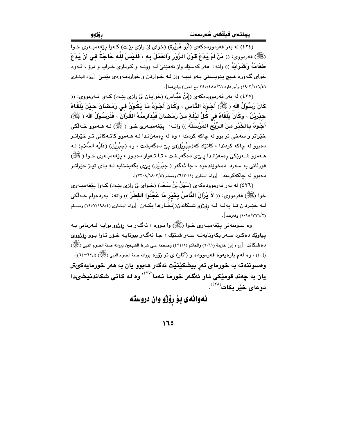.<br>(٤٢٤) له بهر فهرموودهکهي (أَبُو هُرَيْرَة) (خواي ليٌ رازي بيّت) کـهوا يـيّغهمبـهري خـوا (ﷺ) فەرمورى: (( مَنْ لَمْ يَدَعْ قَوْلَ الرُّوْرِ وَالعَمَلَ بِه ، فَلَيْسَ للَّه حَاجَةٌ في أَنْ يَدَعَ طَعَامَهُ وَشَيْرَابَهُ ﴾) واته: "هەر كەسئِك واز نەھێنى لـه ووتـه و كـردارى خـراپ و درق ، ئـهوه خوای گـهوره هـیـچ پـێویـستـی بـهو نبیـه واز لـه خـواردن و خواردنـهوهی بێنــێ [رواه البخاری (١٩٠٢/١١٦/٤) وأبو داود (٤٨٨/٦/ ٣٤٥/٤٨٨).

(٤٢٥) له بهر فهرموودهکهي (إِبْنُ عَبَّاس) (خوابيان ليّ رازي بِيّت) کـهوا فـهرمووي: (( كَانَ رَسُوْلُ الله ﴿ ﷺ) أَجْوَدَ الذَّاسَ ، وَكَانَ أَجْوَدُ مَا يَكُوْنُ فِي رَمَضَانَ حِيْنَ يَلْقَاهُ حِدْرِيْلُ ، وَكَانَ بَلْقَاهُ في كُلِّ لَيْلَةٍ منْ رَمَضْانَ فَيُدَارِسُهُ القُرْآنَ ، فَلَرَسُوْلُ الله ( ﷺ) أَجْوَدُ بِالخَيْرِ مِنَ الرِّيْحِ المُرْسَلَة )) واتـه: يێغەمبـەرى خـوا ( ﷺ) لـه هـﻪموو خـﻪلْكى .<br>خێراتر و سهخی تر بوو له چاکه کردندا ، وه له رِهمهزانـدا لـ<mark>ه هـ</mark>ـهموو کاتـهکانی تـر خێراتـر دهبوو له جاکه کردندا ، کاتێك که(جبْریْل)ى یێ دهگهیشت ، وه (جبْریْل) (عَلَیْه السَّلام) لـه هـهموو شـهوێکي رهمهزانـدا بــِيِّي دهگهيـشت ، تـا تـهواو دهبـوو ، بيێفهمبـهري خـوا ( ﷺ) قورئانی به سەردا دەخوێندەوە ، جا ئەگەر ( جبْریْل) یی٘ی بگەیشتایە لـه بـای تیـِژ خێراتـر دهبوو له جاكهكردندا [رواه البخاري (٦/٢٠/١) ومسلم (٢/٢٠٨/١٨٠٢)].

(٤٢٦) له بهر فهرموودهکهي (سَهْلُ بْنُ سَعْد) (خـواي ليّ رازي بێت) کـهوا پێغهمبـهري خوا (ﷺ) فەرمورى: (( لاَ يَرْالُ الذَّاسُ بِخَيْرٍ مَا عَجَّلُوا الفَطْرَ )) واته: بەردەوام خـﻪلْكى لـه خيّــردان تــا يـهلــه لــه رۆژوو شــكاندن(إفْطَــار)دا بكــهن [رواه البخـاري (١٩٨٤/١٩٨/٤) ومـسلم (١٠٩٨/٧٧١/٢) وغيرهما].

وه سـوننـهتي پێغهمبـهري خـوا (ﷺ) وا بـووه ، ئهگـهر بـه رۆژوو بوايـه فــهرماني بـه يپاوێك دەكرد سـەر بكەوتايەتــه سـەر شـتێك ، جـا ئەگـەر بيوتايـه خـۆر ئـاوا بـوو رۆژووى دهشكاند [رواه إبن خزيمة (٢٠٦١) والحاكم (٤٣٤/١) وصححه على شرط الشيخين بروانه صفة الصوم النبي (ﷺ) (٤٠) ، وه له م بارهيهوه فهرمووده و (آثار) ي تر زوّره بروانه صفة الصوم النبي (ﷺ) (٦٢-٦٤)]. وهسوننهته به خورمای تهر بيشكێنێت ئهگەر هەبوو يان به هەر خورمايەكىتر يان به چەند قومێکي ئاو ئەگەر خورما نەما<sup>(٤٢٧)</sup> وه لـه کـاتي شکاندنيشىدا دوعای خیّر بکات<sup>(٤٢٨)</sup>

ئەوانەى بۆ رۆژو وان دروستە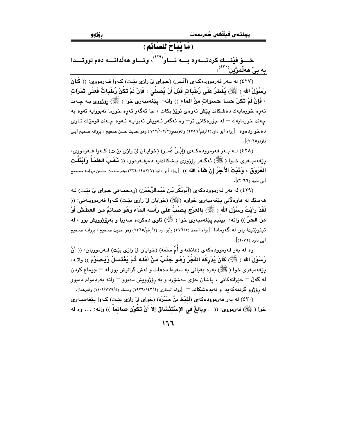( مَا يُبَاحُ للصَّائم )

خسق فيُنسك كردنسەوه بسبه ئساو<sup>(٤٢٩)</sup>، وئساو هەلّدانسيە دەم لووتسىدا به بیْ هەلْمژین $\overset{(\mathfrak{X}^{\mathfrak{X}})}{\rightarrow}$ 

(٤٢٧) له بـ٥ر فهرموودهكـهي (أنَّـس) (خـواي ليِّ رازي بيِّـت) كـهوا فـهرمووي: (( كَانَ رَسُوْلُ الله ﴿ ﷺ) يُفْطِرُ عَلَى رُطَبَاتٍ قَبْلَ أَنْ يُصِلِّي ، فَإِنْ لَمْ تَكُنْ رُطَبَاتٌ فَعَلَى تَمَرَات ، فَإِنْ لَمْ تَكُنْ حَسَا حَسَوَاتٍ منْ المَاء )) واته: ۚ يێغهمبهري خوا ( ﷺ) رێژووي بـه ڇـهند تەرە خورمايەك دەشكاند يێش ئەوەي نوێژ بكات ، جا ئەگەر تەرە خورما نەبووايە ئەوە بە چەند خورمايەك <sup>–</sup> لە جۆرەكانى تر<sup>–</sup> وە ئەگەر ئـەويش نەبوايـە ئـەوە چـەند قومێك ئـاو*ى* ده خوارد هو ه [رواه أبو داود(۲/رقم/۲۵۹۲) والترمذي(۲/۲/۱۰۲/۲) وهو حديث حسن صحيح ، بروانه صحيح أبـي داود(۲۰٦٥)].

(٤٢٨) لــه بــهر فهرموودهكــهي (إِبْـنُ عُمَــرٍ) (خوايــان ليّ رازي بيّـت) كــهوا فــهرمووي: يێغەمبــەرى خــوا (ﷺ) ئەگــەر رۆژووي بــشكاندايە دەيفــەرموو: (( فَهَـبَ الظَمَـأُ وَابْتَلَـت العُرُوفْق ، وَثَبَتَ الأَجْرُ إنْ شَاءَ الله )) [رواه أبو داود (٢/٤٨٢/١) وهو حديث حسن بروانه صحيح أبي داود (٢٠٦٦)].

(٤٢٩) له بهر فهرموودهکهی (أَبُوبَكْر بْـن عَبْـدالرَّحْمَن) (رِهحمـهتی خـوای لیّ بێت) لـه ههنديّك له هاوهلاني پَيْغهمبهري خواوه (ﷺ) (خوايان ليّ رازي بيّـت) كـهوا فهرموويـهتي: (( لَقَدْ رَأَيْتُ رَسُوْلَ الله ﴿ ﷺ) بِالعَرْجِ يَصُبُّ عَلَى رَأْسه المَاءَ وَهُوَ صَائمٌ منَ العَطَشِ أَوْ منَ الحَرِّ )) واته: ۖ بينيم يێغهمبەرى خوا ( ﷺ) ئاوي دەكردە سەريا و بەرۆژوويش بوو ، لە تينويّتيدا يان له گەرمادا [رواه أحمد (٢٧٦/٥) وأبوداود (٢/رقم/٢٣٦٥) وهو حديث صحيح ، بروانـه صحيح أبي داود (٢٠٧٢)].

وه له بهر فهرموودهکهي (عَائشَةٌ و أُمِّ سَلَمَة) (خوابان ليّ رازي بيّت) فـهرموويان: (( أَنَّ رَسُوْلَ الله ﴿ ﷺ) كَانَ يُدْرِكُهُ الفَجْرُ وَهُوَ جُئُبٌ مِنْ أَهْلِه ثُمَّ يَغْتَسِلُ وَيَصُوْمُ )) واتـه: يێغەمبەرى خوا (ﷺ) بەرە بەيانى بە سەردا دەھات و لەش گرانيش بوو لە – جيماع كردن له گەلٌ – خێزانەکانى ، ياشان خۆي دەشۆرد و بە رۆژوويش دەبوو – واتە بەردەوام دەبوو له رۆژوو گرتنـهکه یدا و نـه یدهشکاند — [رواه البخاری (١٤٢/١٤٢/١) ومسلم (١١٠٩/٧٧٩/٤) وغیرهما].

(٤٣٠) له بهر فهرموودهكهي (لَقيْطَ بنُ صَبْرة) (خواي ليّ رازي بيّت) كـهوا ييّغهمبـهري خوا ( ﷺ) فەرمووى: (( .. وَبَالِغْ في الإِسْتَنْشَاقِ إِلاَّ أَنْ تَكُوْنَ صَائِمَاً )) واته: ... وه له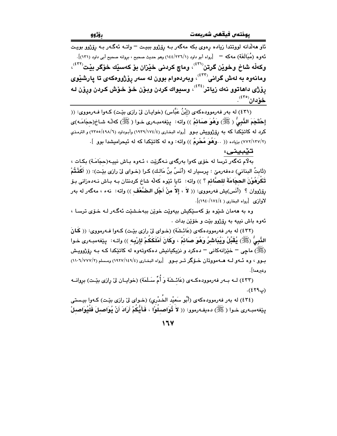ئاو هەلدانە لووتتدا زيادە رەوي بكە مەگەر بـە رۆژوو بېيـت – واتـە ئەگـەر بـە رۆژوو بويـت ـ<br>ئـُهوه (مُبَالَغَةّ) مهكه — [رواه أبو داود (١٤٤/٢٣٦/١) وهو حديث صحيح ، بروانه صحيح أبي داود (١٣١)]. وكهلّه شاخ وخويّن گرتن<sup>(٢١)</sup>، وماچ كردني خيّزان بوّ كهسيّك خوّگر بيّت<sup>(٤٢٢)</sup>، ومانهوه به لهش گرانی<sup>(٤٣٢)</sup>، وبهردهوام بوون له سهر رِوْژووهکهی تا پارش<u>ێ</u>وی رۆژى داھاتوو نەك زياتر<sup>(٤٢٤)</sup>، وسيواك كردن وبۆن خۆ خۆش كردن ورۆن لـه <u>خۆ</u>دان<sup>(٤٣٥)</sup>.

(٤٣١) له بهر فهرموودهکهي (إِبْنُ عَبَّاس) (خوايـان ليّ رازي بێت) کـهوا فـهرمووي: (( إِحْتَجَمَ النَّبِيُّ ( ﷺ) وَهُوَ صَائِمٌ )) واته: پێغهمبـهرى خـوا ( ﷺ) كه له شـاخ(حجَامَـه)ى کرد له کاتێکدا که به پۆژوویش بـوو  $\,$ رواه البخـاری (١٩٢٤/١٧٤/٤) وأبـوداود (١٩٨/١/٥/٤٩٨/١) و الترمـذي (٢٧٢/١٢٧/٢) بزياده (( ..وَهُوَ مُحْرِمٌ )) واته: وه له كاتيْكدا كه له نُيحراميشدا بوو ].

تێبينى:

بهلام ئەگەر ترسا لە خۆى كەوا بەرگەى نـەگرێت ، ئـەوە بـاش نییـە(حجَامَـة) بكـات ، (ثَابِتُ البِناني) دەفەرمىّ : پرسيار له (أَنَسُ بنُ مَالـك) كـرا (خـواي لىّ رازى بِيّـت): (( أَكَفْتُمْ تَكْرَهُوْنَ الحجَامَةَ للصَّائم ؟ )) واته: ئايا ئێوه كهڵه شاخ كردنتان بـه بـاش نـهدهزانى بـوٚ رِفِرْووان ؟ (أَنَس)يش فهرمووي: (( لاَ ، إلاَ منْ أَجْلِ البِصْعُفِ )) واته: نهء ، مهگهر له بهر لاوازي [رواه البخاري ( ١٧٤٠/١٧٤/٤)].

وه به ههمان شێوه بۆ کەسێکیش بیەوێت خوێن ببەخشێت ئەگەر لـه خـۆی ترسـا ، ئهوه باش نييه به رۆژوو بێت و خۆێن بدات .

(٤٣٢) له بهر فهرموودهكهي (عَائشَة) (خـواي ليّ رازي بيّـت) كـهوا فـهرمووي: (( كَانَ النَّبِيُّ (ﷺ) يُقَبِّلُ وَيُبَاشِرُ وَهُوَ صَائِمٌ ، وَكَانَ أَمْلَكَكُمْ لِإِرْبِهِ )) واتــه: ۖ يِيٚغهمبـهرى خـوا (ﷺ) ماڃي – خێزانهکاني – دهکرد و نزيکيانيش دهکهوتهوه له کاتێکدا کـه بـه رۆژوويـش بوو ، وه ئـهو لـه هـهمووتان خـوّكر تـر بـوو [رواه البخاري (١٩٢٧/١٤٩/٤) ومسلم (١١٠٦/٧٧٧/٢). وغيرهما].

(٤٣٣) لــه بــهر فهرموودهكــهي (عَائــشَة وَ أُمِّ سَـلَمَة) (خوايــان ليّ رِازي بيّــت) بروانــه  $\cdot$ (٤٢٩ع)

(٤٣٤) له بهر فهرموودهکهي (أَبُو سَعيْد الخُدْريِ) (خـواي ليٌ رازي بيّـت) کـهوا بيـستي يِيّفهمبهري خـوا (ﷺ) دهيفـهرموو: (( لاَ تُوَاصـلُوْا ، فَأَيُّكُمْ أَرَادَ أَنْ يُوَاصـلَ فَلْيُوَاصـلْ

 $17Y$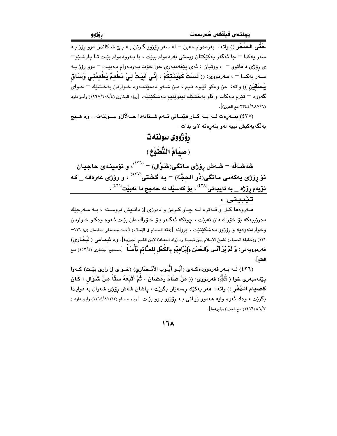ـ<br>حَتَّـى الـسَّـحَر )) واته: بەردەوام مەبن <sup>ـــ</sup> لە سەر رۆ<u>ڑوو</u> گـرتن بـه بـێ شـكاندن دوو رۆژ بـه سەر يەكدا – جا ئەگەر يەكێكتان ويستى بەردەوام بېێت ، با بـەرودەوام بێت تـا يارشـێو− ى رۆژى داھاتوو - به ووتيان : ئەي يێغەمبەرى خوا خۆت بەردەوام دەبيت - دوو رۆژ بـه سـەر يەكـدا – ، فـەرمورى: (( لَـسْتُ كَهَيْئَـتـْكُمْ ، إِنِّـى أَبِيْتُ لـىْ مُطْعمٌ يُطْعمُنـى وَسَاق يَسْقَيْنَ )) واته: من وهكو ئَيْـوه نـيم ، مـن شـهو دهمێنمـهوه خـواردن بهخـشێك – خـواي گەورە – تێرم دەكات و ئاو بەخشێك تىنوێتىم دەشكێنێت [رواه البخارى (١/ ١٩٦٧) وأبـو داود (٦٨٧/٦) ٢٣٤٤ مع العون)].

(٤٣٥) بنه رهت له به كار هيّناني ئهم شتانهدا حـه لالى سـوننهته.. وه هـيج بەلگەيەكيش نييە لەو بنەرەتە لاي بدات .

> رۆژووى سوننەت (صِيَامُ النَّطَوَّعِ)

شەشەڵە – شەش رۆژى مانگى(شَوَّال) – <sup>(٤٣٦)</sup>، و نۆمينـەى حاجيـان – نوْ روْژى يەكەمى مانگى(نُو الحجَّة) – بە گشتى<sup>(٥٢٧)</sup> ، و روْژى عەرەفە \_ كە نۆيەم رۆژە \_ بە تايبەتى<sup>(٤٢٨)</sup> ، بۆ كەسێك لە حەجج دا نەبێت<sup>(٤٣٩)</sup> ،

تيبينى :

مهروهها کل و قــهتره لــه چـاو کـردن و دهرزی لیّ دانــیش دروســته ، بـه مــهرجێك دهرزييهکه بۆ خۆراك دان نەبێت ، چونکه ئەگـەر بـۆ خـۆراك دان بێت ئـەوه وەکـو خـواردن وحْواردنهوهيه و رۆژوو دەشكێنێت ، بروانه [(فقه الصيام ڧ الإسلام) لأحمد مصطفى سليمان (ل: ١١٦– ١٢١) و(حقيقة الصيام) لشيخ الإسلام إبن تيميـة وه (زاد المعـاد) لإبـن القـيم الجوزيـة]. وه تُـيمـامـى (البُـخَـارى) فه رموويه تى: وَ لَمْ يَرَ أَنَس وَالحَسَن وَإِبْرَاهِيْم بِالكُحْل للصَّائم بَأْسَـاً ۚ [صحيح البخارى (١٥٣/٤) مع الفتح].

(٤٣٦) لــه بــهر فهرموودهكــهي (أَبُــو أَيُّــوب الأَنْــصَارِي) (خــواي ليّ رازي بيّـت) كــهوا يێفەمبەرى خوا (ﷺ) فەرمورى: (( مَنْ صَامَ رَمَضَانَ ، ثُمَّ أَتْبَعَهُ سِتًّا مِنْ شَوَّالٍ ، كَانَ كصبيَام الدَّهْرِ )) واته: هەر يەكێك رەمەزان بگرێت ، ياشان شەش رۆژى شەوال بە دوايدا بگرێت ، وهك ئهوه وايه ههموو ژيياني بـه رۆژوو بـوو بێت [رواه مـسلم (١١٦٤/٨٢٢/٢) وابـو داود ( ٢٤١٦/٨٦/٧) مع العون) وغيرهما].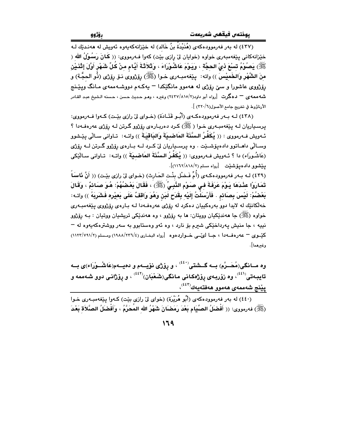.<br>(٤٣٧) له بهر فهرموودهكهي (هُنَئِدَةُ بنُ خَالِدٍ) له خِبْزانهكهبهوه بُهويش له ههندتك لـه خێزانهکانی پێفهمبهری خواوه (خوایان لیّ رازی بێت) کهوا فـهرمووی: (( کَانَ رَسُولُ الله ( ﷺ، بَصُوْمُ تَسْعَ ذيْ الحجَّة ، وَيَوْمَ عَاشُوْرَاءَ ، وَثَلاَثَةَ أَبَّام منْ كُلِّ شَهْرٍ أَوَّلَ إِثْنَـٰن منَ الشَّهْرِ وَالخَميْسَ )) واته: بِيْغەمبِـەرى خـوا (ﷺ) رۆزروى نـۆ رۆزى (ذُو الحجَّـة) و رۆژوي عاشورا و سے رۆژې له هەموږ مانگێکدا – پەکەم دووشـەممەي مـانگ ويێـنج شه ممه ي " دهگرت  $\lfloor$ رواه أبو داود(۲/۸۱۰/۲) وغیره ، وهـو حـدیث حـسن ، حـسنه الـشیخ عبـد القـادر الأرناؤوط في تخريج جامع الأصول(٣٢٠/٦) ].

(٤٣٨) لـه بـه, فه,موودهكـهي (أُسُو قَتَبابَة) (خيواي ليّ رازي بِيّت) كـهوا فـه,مووي: پرسپاریان لـه بِيْغهمبـهري خـوا ( ﷺ) کـرد دهريـارهي رۆژوو گـرتن لـه رۆژي عهرهفـهدا ؟ ئـهويش فـهرمووى : (( يُكَفِّرُ الـسَّنَةَ المَاضـيَةَ وَالبَاقيَـةَ )) واتـه: تـاوانى سـالّى ييّـشوو وسـالّي داهـاتوو دادهيۆشـێت . وه پرسـڀاريان ليّ كـرد لــه بــارهى رۆزوو گـرتن لــه رۆزى (عَاشُوراء) دا ؟ سُويش فـهرمووي: (( يُكَفِّرُ السَّنَةَ المَاضيقَ )) واتـه: تـاواني سـالَّيْكي يێشوو دادهيۆشێت [رواه مسلم (١٨١٨/٢/١١٦٢)].

(٤٣٩) لـه بـهر فهرموودهكـهي (أُمٍّ فَـضْل بِنْت الحَارِث) (خـواي ليّ رازي بيّـت) (( أَنَّ نَاسَاً تَمَارَوْا عَثْدَهَا يَـوْمَ عَرَفَةَ فـِي صَـوْمِ النَّبِـيِّ ۚ رَﷺَ ﴾ ، فَقَالَ بَعْـصُهُمْ: هُـوَ صَـائمٌ ، وَقَالَ بَعْضُمْ: لَيْسَ بِصَائِم . فَأَرْسَلْتُ إِلَيْهِ بِقَدَحٍ لَبَنْ وَهُوَ وَاقِفٌ عَلَى بَعِيْرِهِ فَشَرِبَهُ )) واتـه: خەلكانىيك لە لايدا دوو بەرەكييان دەكرد لە رۆژى عەرەڧەدا لـە بـارەي رۆژووى پێغەمبـەرى خواوه (ﷺ) جا ههندٽِکيان وويتان: ها به روڙوو ، وه ههندٽِکي تريشيان ووتيان : بـه روڙوو نيپه ، جا منيش پهرداخٽِکي شعرم بِوْ نارڊ ، وه ئهو وهستابوو به سهر ووشترهکهپهوه له – كيّسوى – عەرەفىەدا ، جيا لويْسى خىواردەوە [رواه البخيارى (٤/١٩٨٨/٢٣٦) ومىسلم (٢/٧٩١/٢) (١١٢٢/٧٩١) وغيرهما].

وه مــانگی(مُحَــرَّم) بــه گــشتی $\mathfrak{t}^{(i)}$  ، و پۆژی نۆیــهم و دهیــهم(عَاشُــوْرَاء)ی بــه تايبەتى<sup>(نۇن</sup>) وە زۆربەي رۆژەكانى مانگى(شَعْبَان)<sup>(ئۇن</sup>) ، و رۆژانى دوو شەممە و پێۣ<mark>نج شەممەی ھەموو ھەفتەيەك<sup>(٤٤٢)</sup>،</mark>

(٤٤٠) له بهر فهرموودهکهي (أَبُو هُرَيْرَة) (خواي ليّ رازي بيّت) کـهوا پيّغهمبـهري خـوا (ﷺ) فەرمورى: (( أَفْضَلُ الصِّيَام بَعْدَ رَمَضَانَ شَهْرُ الله المُحَرَّمُ ، وَأَفْضَلُ الصَّلاَة بَعْدَ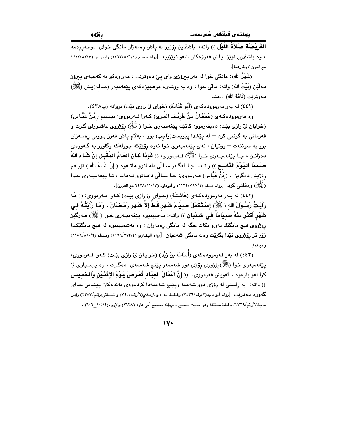ا**لفَرِيْضَة صَلاَةُ اللَّيْل** )) واته: باشترين رِوْزْوو له پاش رِهمهزان مانگی خوای موحهڕرِهمه ، وه باشترین نویز ییاش فه رزهکان شهو نویزییه [رواه مسلم (۱۱۶۲/۸۲۱/۲) وابوداود (۲۶۱۲/۸۲/۷ مع العون ) وغيرهما].

(شَهْرُ الله): مانگی خوا له بهر پیرۆزی وای ییّ دهوتریّت ، ههر وهکو به کهعبهی پیرۆز دهلَّيْنِ (بَيْتُ الله) واته: مالِّي خوا ، وه به ووشتره موعجيزهكهي بيِّغهمبهر (صَالح)بِشْ (ﷺ) دەوترێت (نَاقَة الله) . .هتد .

(٤٤١) له بهر فهرموودهكهى (أَبُو قَتَادَة) (خواى ليِّ رازى بيِّت) بروانه (پ٢٢٨).

وه فەرموودەكـەي (غَطَفَـانُ بـنُ طَرِيْـف المُـرِي) كـەوا فـەرمووى: بيـستم (إِبْـنُ عَبَّـاس) (خوايان ليّ رازي بيّت) دهيفهرموو: کاتێك پيّغهمبهري خـوا (کُنِيْنٌ) رۆژووي عاشـوراي گـرت و فهرماني به گرتني کرد <sup>—</sup> له پێشدا پێویست(وَاجِبِ) بوو ، بهلام پاش فهرز بـووني رهمـهزان بوو به سوننهت – ووتيان : ئەي يێغەمبەرى خوا ئەوە رۆژێکە جوولەکە وگاوور بە گـەورەي دهزانـن ، جـا يـێغهمبـهري خـوا (ﷺ) فـهرمووي: (( فَإِذَا كَـانَ العَـامُ المُقْبِـلِ إِنْ شَـاءَ اللهُ صُمْنَا اليَوْمَ التَّاسع )) واتـه: جـا ئهگـهر سـالّى داهـاتوو هاتـهوه ( إنْ شَـاءَ الله ) نوّيـهم رۆژپش دەگرین ، (إِبْنُ عَبَّاس) فـەرمووی: جـا سـالّى داھـاتوو نـەھات ، تـا پێغەمبـەری خـوا ري.<br>(ريليس) و **دفاتي كرد [رواه مسلم (٧٩٧/٢) ١١٣٤/١١٧) و أموداود (٧/١١٠/٧) ٢٤٢٨ مع العون)**].

(٤٤٢) له بـهر فهرموودهكـهي (عَائـشَة) (خـواي ليّ رازي بيّـت) كـهوا فـهرمووي: (( مَا رَأَيْتُ رَسُوْلَ الله ﴿ ﷺ) إِسْتَكْمَلَ صبيَامَ شَهْرٍ قَطَّ إِلاَّ شَهْرٍ رَمَضَانَ ، وَمَا رَأَيْتُهُ في شَهْرٍ أَكْثَرَ منْهُ صبيَامَاً في شَعْبَانَ )) واتـه: نـهمبينيوه يێغهمبـهري خـوا ( ﷺ) هـهرگيز رۆژووي هيچ مانگێك تەواو بكات جگه له مانگي رەمەزان ، وه نەشمېينيوه له هيچ مانگێكدا زۆر تر رۆژووي تێدا بگرێت وهك مانگي شەعبان [رواه البخاري (١٢١٢/٢١٣/٤) ومسلم (١١٠٥٦/٨١٠/٢) وغيرهما].

(٤٤٣) له يهر فهرموودهكهي (أُساَمَةُ بنُ زَيْدٍ) (خوابيان لِيّ رازي بيّيت) كـهوا فـهرمووي: پێغەمبەرى خوا (ﷺ)بۆژووى بۆژى دوو شەممەو يێنچ شەممەي دەگىرت ، وە يىسىيارى لێ كرا لەو بارەوە ، ئەويش فەرمووى: (( إنَّ أَعْمَالَ العبَـاد تُعْرَضُ يَـوْمَ الإِتْنَـيْنِ وَالخَمـيْس )) واته: به راستی له رۆژی دوو شهممه ویێنج شهممهدا کردهوهی بهندهکان پیشانی خوای گەور ە دەدرىيت [رواه أمو داود(۲/رقم/۲٤۳٦) واللفظ لـه ، والترمذي(۱/رقم/۲٤٥) والنـسائى(رقم/۲۳۵۷) وإسن ماجة(١/رقم/١٧٣٩) بألفاظ مختلفة وهو حديث صحيح ، بروانه صحيح أبي داود (٢١٢٨) والإرواء(١٠٥/٤ ٦٠٦)].

 $\mathsf{N} \cdot$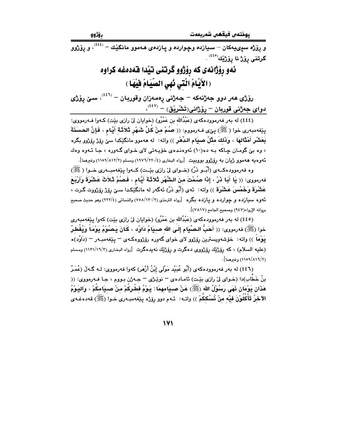و پۆژه سپىيەكان – سيازده وچوارده و پازد*ەى ھ*ەموو مانگێك – <sup>(٤٤٤)</sup>، و يۆژوو گرتنى پۆژ نا يۆژێك<sup>(٤٤٥)</sup> .

> ئەو رۆژانەى كە رۆژوو گرتنى تيدا فەدەغە كراوە (الأَيَّامُ الَّتَى نُهى الصِّيَامُ فَيْهَا )

رۆژى ھەر دوو جەژنەكە – جەژنى پەمەزان وقوربان – <sup>‹‹٤٦</sup>′، سىن يۆژى  $\mathcal{L}^{(i\ell\ell)}$ دوای جەژنی قوربان – رۆژانی(تَشْرِیْق) –  $\mathcal{L}^{(i\ell\ell)}$ 

بِيّفهمبهري خوا ( ﷺ) بِيّي فـهرمووم: (( صُمْ منْ كُلِّ شَهْرٍ ثَلاَثَة أَيَّام ، فَإِنَّ الحَسَنَةَ بَعَشْر أَمْثَالهَا ، وَذَلكَ مثْلُ صبيَام الدِّهْر )) واته: له ههموو مانگێکدا سێ رِۆِرْ رِۆِرْوو بِگره ، وه بيّ گومان چاکه بـه ده(١٠) ئهوهندهي خوّيـهتي لاي خـواي گـهوره ، جـا ئـهوه وهك ئەوەيە ھەموو ژىيان بە رۆژوو بووبىيت [رواە البخارى (٤/١٢٢٠/٤) ومسلم (٢/١١٧/١١٥٩) وغيرهما].

وه فهرموودهکـهي (أُبُــو ذَرّ) (خــواي ليّ رازي بێت) کــهوا پێغهمبــهري خــوا ( ﷺ) فەرمورى: (( يَا أَبَا ذَرّ ، إِذَا صُمْتَ منَ الشُّهْرِ ثَلاَثَةَ أَيَّام ، فَصُمْ ثَلاَثَ عَشْرَةَ وَأَرْبَعَ عَ**شْرَةَ وَخَمْسَ عَشْرَةَ** )) واته: ئەى (أَبُو ذَرّ) ئەگەر لە مانگێِكدا سىێ يۆ<u>ڈ</u> يۆژووت گـرت ، ئەوە سىيازدە و چواردە و پازدە بگرە [رواە الترمذى (٧٠٨/١٣٠/٢) والنسائى (٢٢٢/٤) وهو حديث صحيح بروانه الإرواء(٩٤٧) وصحيح الجامع (٧٨١٧)].

(٤٤٥) له بهر فهرموودهکهي (عَبْدُالله بن عَمْرُو) (خوايان ليّ رازي بێت) کهوا پێغهمبهري خوا (ﷺ) فەرمورى: (( أَهَبُّ البِصِّيَامِ إِلَى الله صبيَامُ دَاوُد ، كَانَ يَبْصُوْمُ يَوْمَاً وَيُفْطِرُ يَوْمَاً )) واته: ۖ خۆشەويسترين رۆژوو لای خوای گەورە رۆژووەكـەی – يـێغەمبـەر – (دَاوُد)ە (علیه السلام) ، که رۆژێك رۆژووی دەگرت و رۆژێك نەپدەگرت [رواه البخاری (١١٢١/١٦/٣) ومسلم (١/٨١٦/٢) وغيرهما].

(٤٤٦) له بهر فهرموودهكهي (أَبُو عُبَيْد مَوْلَى إِبْنُ أَزْهَرِ) كهوا فهرمووي: لـه گـهڵ (عُمَـرُ بنُ خَطَّاب)دا (خـواي ليّ رازي بێـت) ئامـادهي – نوێـژي – جـه ژن بـووم ، جـا فـهرمووي: (( هَذَانٍ يَوْمَانٍ نَهَى رَسُوْلُ الله (ﷺ) عَنْ صبيَامهمَا: يَـوْمُ فطْرِكُمْ منْ صبيَامكُمْ ، وَاليَـوْمُ الآخرُ تَأْكُلُوْنَ فيه منْ نُسُككُمْ )) واتـه: ئـهم دوو رِوَزْه پێغهمبـهری خـوا (ﷺ) قهدهغـهی

 $\mathsf{I} \mathsf{V} \mathsf{I}$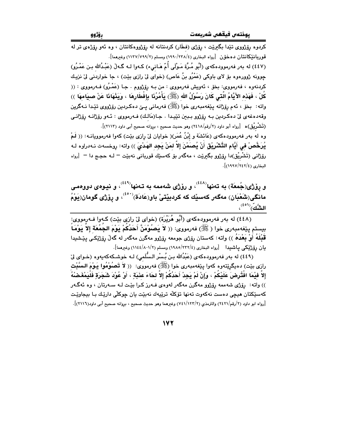کردوه پۆژووی تێدا بگیرێت ، پۆژی (فطَار) کردنتانه له پۆژووهکانتان ، وه ئەو پۆژەی تر له قورياننيكانتان دەخۆن [رواه البخارى (٢٢٨/٢٣٨/٤) ومسلم (١١٣٧/٧٩٩/٢) وغيرهما]. (٤٤٧) له بەر فەرموودەكەي (أَبُو مُرَّة مَـوْلَى أُمّ هَـانىء) كـەوا لـه گـەلْ (عَبْـدُالله بـن عَمْـرُو) جوونه ژوورهوه بۆ لاي باوكى (عَمْرُو بنُ عَاص) (خواي لِيّ رازي بيّت) ، جا خواردنى ليّ نزيـك كردنهوه ، فهرمووى: بخق ، ئهويش فهرمووى : من بـه رۆژووم . جـا (عَمْـرُو) فـهرمووى : (( كُلْ ، فَهَذه الأَيَّامُ الَّتـٰى كَانَ رَسُوْلُ الله (ﷺ) يَأْمُرُنَا بِإِفْطَارِهَا ، وَيَذْهَاذَا عَنْ صبيَامهَا ﴾) واته: بخۆ ، ئەم رۆژانە يێغەمبەرى خوا (ﷺ) فەرمانى يـێ دەكـردېن رۆژووى تێدا نـﻪگرين وقەدەغەي لىٰ دەكردىن بـه رۆژوو بـبين تێيـدا . جـا(مَالـك) فـەرمووى : ئـەو رۆژانــه رۆژانــى (تَشْرِيْق)ه [رواه أبو داود (٢/رقم/٢٤١٨) وهو حديث صحيح ، بروانه صحيح أبي داود (٢١١٣)]. وه له بهر فهرموودهکهی (عَائشَة و إِبْنُ عُمَر)( خوایان لیّ رازی بێت) کهوا فهرموویانــه: (( لَـمْ

يُرَخَّصْ في أَبَّامِ التَّشْرِيْقِ أَنْ يُصَمّنَ إِلاَّ لمَنْ يَجِد الهَدْيَ )) وإنه: روحسهت نـهدراوه لـه رۆژانى (تَشْرِيْق)دا رۆژوو بگيرێت ، مەگەر بۆ كەسێك قوربانى نەبێت = لـه حجـج دا = [رواه البخاري (٢٤٢/٢٤٢)].

و پۆژى(جُمعَة) به تەنها<sup>(٤٤٨)</sup>، و رۆژى شەممە بە تـەنها<sup>(٤٤٩)</sup>، و نيـوەى دووەمـى مانگي(شَعْبَان) مەگەر كەسىيك كە كردېيتتى باو(عَادَة) $^{(8\, \bullet)}$ ، و رۆژى گومان(يَوْمُ الشَّك<sup>ِّ) ((٤٥١)</sup>،

(٤٤٨) له بهر فهرموودهکهي (أَبُو هُرَيْرَةٍ) (خواي ليٌ رازي بيّتٍ) کـهوا فـهرمووي: بيستم بِيْغهمبهري خوا ( ﷺ) فهرمووي: (( لاَ يَصُوْمَنَّ أَحَدُكُمْ يَوْمَ الجَمُعَة إلاَ يَوْمَا ۖ قَبْلَهُ أَوْ بَعْدَهُ )) واته: كەستان رۆژى جومعە رۆژوو مەگرن مەگەر لە گەلْ رۆژێِكـى يێشيدا يان رۆژنيكى ياشىيدا [رواه البخارى (٢٢٢/٤/١٩٨٥) ومسلم (١١٤٤/٨٠١/٢) وغيرهما].

(٤٤٩) له بهر فهرموودهكهي (عَبْدُالله بـن بُـسْر الـسُّلَمى) لـه خوشـكهكهيهوه (خـواي ليّ رازي بيّت) دەيگريتتەوە كەوا پيّغەمبەرى خوا (ﷺ) فەرمووى: (( لاَ تَصُوْمُوا يَـوْمَ الـسَّبْت إِلاَّ فَيْمَا افْتُرِضَ عَلَيْكُمْ ، وَإِنْ لَمْ يَجِدْ أَحَدُكُمْ إِلاَّ لحَاءَ عَنَبَةٍ ، أَوْ عُوْدَ شَجَرَةٍ فَلْيَمْغَضْهُ )) واته: رۆژى شەممە رۆژوو مەگرن مەگەر لەوەي فـەرز كـرا بێت لـه سـەرتان ، وه ئەگـەر کهسێکتان هيچي دهست نهکهوت تهنها تۆکلّه ترێپهك نهبێت پان چوکلّی دارێك بـا بيجاوێت [رواه ابو داود (٢/رقم/٢٤٢١) والترمذي (٢/١٢٢/٢) وغيرهما وهو حديث صحيح ، بروانه صحيح أبي داود(٢١١٦)].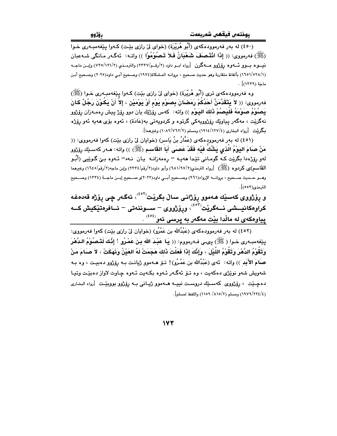.<br>(٤٥٠) له بهر فهرموودهکهي (أَبُو هُرَيْرَة) (خواي ليّ رازي بێت) کـهوا پێغهمبـهري خـوا (ﷺ) فەرمووى: (( إِذَا الْتَنْصَفَ شَعْبَانُ فَلاَ تَصُوْمُوْا )) واتـه: ئەگـەر مـانگى شـەعبان نیـــوه بـــوو ئـــه<code>وه</code> رۆژوو مـــهگرن  $\,$ رواه ابــو داود (۲/رقــم/۲۳۲/(م۱۲۱/۲) وابــن ماجــه  $\,$ (١/٥٢٨/١/١) بألفاظ متقاربة وهو حديث صـحيح ، بروانـه المـشكاة(١٩٧٤) وصـحيح أبـي داود(٢٠٢٥) وصـحيح أبـن ماحة (١٣٣٩) .

وه فهرموودهکهی تری (أَبُو هُرَيْرَة) (خوای ليّ رازی بيّت) کـهوا پيّغهمبـهری خـوا (ﷺ) فەرمووى: (( لاَ يَتَقَدَّمَنَّ أَحَدُكُمْ رَمَضَانَ بِصَوْمٍ يَوْمِ أَوْ يَوْمَيْنِ ، إِلاَّ أَنْ يَكُوْنَ رَجُلٌ كَانَ يَصُلُوْمُ صَلَوْمَهُ فَلَيَصُمْ ذَلِكَ البَيوْمِ )) واته: كهس رِوَّرْتِك بِان دوو روّرْ بِيش رەمـەزان روّرْوو نهگرێِت ، مەگەر يياوێك رۆژوويەكى گرتوه و كردويەتى بە(عَادَة) ، ئەوە بۆى ھەيە ئەو رۆژە مكرنت [رواه البخاري (١٢٧/٤/١٩١٤) ومسلم (١٩١٢/٧٦٢/٢) وغيرهما].

(٤٥١) له بهر فهرموودهکهي (عَمَّارُ بنُ يَاسر) (خوايان ليّ رازي بيّت) کهوا فهرمووي: (( مَنْ صَامَ اليَوْمُ الَّذِي يَشُكَّ فيْه فَقَدْ عَصَى أَبَا القَاسم (ﷺ) )) واته: مـهر كهسـێك رِۆرْوو لهو رۆژەدا بگرێت کـه گومـانى تێدا ھەپـه – رەمەزانـه پـان نـه= ئـهوه بـێ گـوێپى (أَبُـو القَاسم)ی کردوه (ﷺ) [رواه الترمذي(٢/٩٧/٢) وأبو داود(٢/رقم/٢٣٢٤) وإبن ماجه(٢/رقم/١٦٤٥) وغيرهما .<br>وهــو حــديث صــحيح ، بروانــه الإرواء(٩٦١) وصــحيح أبــي داود(٢٠٢٢)و صــحيح إبــن ماجــة (١٣٢٤) وصــحيح الترمذي(٥٥٣)].

و پۆژووى كەسێك ھەموو پۆژانى سالْ بگرێت<sup>(٤٥٢)</sup>، ئەگەر چى يۆژە قەدەغە ۔<br>کراوہکانیـــشی نـــهگریٚت<sup>('وُن</sup>'، ورِوْژووی – ســـوننهتی – ئـــافرەتێکیش کـــه <mark>پیاوهکهی له مالْدا بیْت مهگهر به پرسی</mark> ئهو<sup>(٤٥٤)</sup> .

(٤٥٢) له بەر فەرموودەكەي (عَبْدُالله بن عَمْرُو) (خوابان ليْ رازى بيّت) كەوا فەرمووى: يِيّفهمبهري خاوا (ﷺ) يحسى فـهرمووم: (( يَـا عَبْدَ الله بنَ عَمْرُو ! إنَّكَ لَتَـْصُوْمُ الدَّهْرَ وتَقُوْمُ الدَّهْرَ وَتَقُوْمُ اللَّيْلَ ، وَإِنَّكَ إِذَا فَعَلْتَ ذَلكَ هَجَمَتْ لَهُ العَيْنُ وَنَهَكَتْ ، لاَ صبَامَ مَنْ صَامَ الأَبَد )) واته: ئهي (عَبْدُالله بن عَمْـرُو)! تــوّ هــهموو ژيانـت بــه رِوِّژوو دهبيـت ، وه بــه شەويش شەو نوێژى دەكەيت ، وە تىۆ ئەگەر ئـەوە بكـەيت ئـەوە چـاوت لاواز دەبێت وتيـا دهچـێت ، رۆژووي کهسـێك دروسـت نييــه هــهموو ژيـاني بــه رۆژوو بووبێـت [رواه البخـاري (١٩٧٩/٢٢٤/٤) ومسلم (٨١٥/٢/ ١١٥٩) واللفظ لمسلم].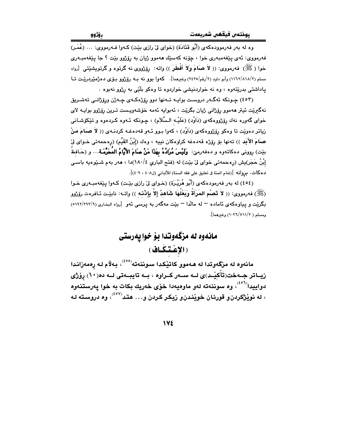وه له بهر فهرموودهکهي (أَبُو قَتَادَة) (خواي ليّ رازي بيّت) کـهوا فـهرمووي: ... (عُمَر) فەرمووى: ئەي يێغەمبەرى خوا ، چۆنە كەسێك ھەموو ژيان بە رۆژوو بێت ؟ جا يێغەمبـەرى خوا (ﷺ) فەرمووى: (( لاَ صَامَ وَلاَ أَفْطَرَ )) واتـه: رۆژووى نـه گرتوه و گرتوپشێتى [رواه مسلم (۲/۸۱۸/۲)، وأبو داود (۲/رقم/۲٤۲٥) وغیرهما]. کهوا بوو نه بـه رۆژوو بـۆی دەژمنیردرییـت تــا ياداشتي بدرێتەوه ، وه نه خواردنيشي خواردوه تا وهكو بلٌٽي به رژوو نەبوه .

(٤٥٣) چـونکه ئەگــەر دروسـت بوايــه تــەنها دوو رۆژەکــەي چــەژن ورۆژانــي تـهشــريق نهگىريْت ئيتر ھەموو رۆژانى ژيان بگريْت ، ئەبوابە ئەمە خۆشەوپىست تىرين رۆژوو بواپـە لاي خواي گەورە نەك رۆژورەكەي (دَاوُد) (عَلَيْــه الـسَّلَام) ، چـونكە ئــەوە كـردەوە و تێكۆشـانى زیاتر دهویّت تا وهکو رۆژووهکهی (دَاوُد) ، کهوا بـوو ئـهو قهدهغـه کردنـهی (( لاَ صَمَامَ مَنْ صَامَ الأَبَد )) تەنھا بۆ رۆژە قەدەغە كراوەكان نييە ، وەك (إِبْنُ القَيِّم) (رەحمەتى خـواى لِيّ بيّت) روونى دەكاتەوە و دەڧەرمێ: **وَلَيْسَ مُرَادُهُ بِهَذَا مَنْ صَامَ الأَيَّامُ المُحَرَّمَـة.**.. و (حَـافظُ إِبْنُ حَجَرٍ)يش (رەحمەتى خواي ليّ بێت) له (فتح البارى ١٨٠/٤/١)دا ، هەر بەم شــێوەيە باسـى دهكات. بروانه [(تمام المنة في تعليق على فقه السنة) للألباني (ل٤٠٨ ، ٤٠٩)].

(٤٥٤) له بهر فهرمودهکهي (أَبُو هُرَيْرِة) (خـواي ليّ رازي بيّت) کـهوا يێغهمبـهري خـوا (ﷺ) فەرمووى: (( لاَ تَصُم المَرَأَةُ وَبَعْلَهَا شَاهدٌ إلاّ بإِنْتُ )) واتــه: نابيّـت ئـافرەت رۆِژوو بگریّت و پیاوهکهی ناماده – له مالّدا – بیّت مهگهر به پرسی نّهو [رواه البخاری (۶۹۲/۲۹۲/۹) ومسلم ( ١٠٢٦/٧١١/٢) وغيرهما].

> مانهوه له مزگهوتدا بؤ خوا يهرستی (الإعتقاف)

مانەوه له مزگەوتدا له هـهموو كاتێكدا سـوننهته<sup>(°٥٥)</sup>، بـهلاّم لـه رەمەزانـدا زیــاتر جــهخت(تَأْكیْــد)ی لــه ســهر كــراوه ، بــه تایبــهتی لــه ده(١٠) پوْرْی دواييدا<sup>(ده)</sup>، وه سوننهته لهو ماوهيهدا خوّي خهريك بكات به خوا يهرستنهوه ، له نویژگردن، قورئان خویندن، زیکر کردن و… هتد<sup>(۴۰۷)</sup>، وه دروسته لـه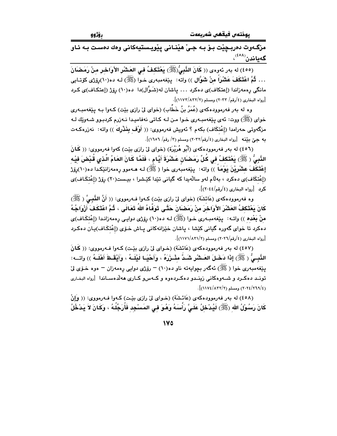مزگـهوت دەربـڃێت بـوٚ بـه جـيٰ هێنـاني پێويـستيهكاني وهك دەسـت بـه ئـاو گەياندن<sup>(٤٥٨)</sup>،

(٤٥٥) له بهر ئەوەي (( كَانَ النَّبِيُّ(ﷺ) يَعْتَكِفُ في العَشْرِ الأَوَاحْرِ مِنْ رَمَضْانَ . . . ثُمَّ اعْتَكَفَ عَشْرَاً منْ شَوَّالٍ )) واته: يێغهمبەرى خـوا (ﷺ) لـه دە(١٠)رۆژى كۆتـايى مانگی رەمەزاندا (إعتكاف)ي دەكرد ... ياشان لە(شَـوَّال)دا دە(١٠) رۆژ (إعتكـاف)ي كـرد [رواه البخاري (٤/رقم/ ٢٠٣٣) ومسلم (١١٧٢/٨٣٢)].

وه له بهر فهرموودهکهی (عُمَرُ بنُ خَطَّاب) (خوای لیٌ رازی بیّت) کـهوا بـه پیّغهمبـهری خواي (ﷺ) ووت: ئەي يێغەمبەرى خـوا مـن لـه كـاتى نەفاميـدا نـەزرم كردېـوو شـەوێك لـه مزگەوتى حەرامدا (إعْتكَاف) بكەم ؟ ئەويش فەرمووى: (( أَوْف بِغَذْرِكَ )) واتە: نەزرەكـەت به جيِّ بنِّنه [رواه البخاري (٤/رقم/٢٠٣٢) ومسلم (٣/ رقم/ ١٦٥٦)].

(٤٥٦) له بهر فهرموودهكهي (أَبُو هُرَيْرَة) (خواي ليّ رازي بيّت) كهوا فهرمووي: (( كَانَ النَّبِيُّ ( ﷺ) يَعْتَكفُ في كُلِّ رَمَضَانٍ عَشْرَةَ أَيَّامٍ ، فَلَمَّا كَانَ العَامُ الَّذي قُبْضَ فيْه إِعْتَكَفَ عِشْرِيْنَ يَوْمَاً )) واته: پێغەمبەرى خوا ( ﷺ) لـه هــهموو رەمەزانێكدا دە(١٠)رۆژ (اِعْتكَاف)ي دەكرد ، بەلّام لەو سالّەيدا كە گيانى تێدا كێشرا ، بيـست(٢٠) رۆژ (اِعْتكَـاف)ي كدد [رواه البخاري (٤/رقم/٢٠٤٤)].

وه فەرموودەكەي (عَائشَة) (خواي ليّ رازي بيّت) كـەوا فــەرمووي: (( أَنَّ النَّسِيُّ ( ﷺ) كَانَ بَعْتَكِفُ العَشْرَ الأَوَاخْرَ مِنْ رَمَضَانَ حَتَّـى تَوَفَّاهُ اللهُ تَعَالَى ، ثُمَّ اعْتَكَفَ أَزْوَاجُهُ مِنْ بَعْدِهِ )) واتـه: ۖ بِيَعْه مبـه ري خـوا (ﷺ) لـه ده(١٠) روِّزي دوايـي رهمه زانـدا (إعْتكَـاف)ي دهکرد تا خوای گەورە گیانی کێشا ، پاشان خێزانەکانی پـاش خـۆی (اِعْتكَـاف)پـان دەكـرد [رواه البخاري (٤/رقم/٢٠٢٦) ومسلم (٢/١١٧١/٨٣١)].

(٤٥٧) له بهر فهرموودهکهي (عَائشَة) (خـواي ليّ رازي بنيـت) کـهوا فـهرمووي: (( کَمانَ الذَّبِيُّ ( ﷺ) إِذَا دَخَـلَ العَـشْرِ شَـدَّ مِئْـزَرَهُ ، وَأَحْيَـا لَيْلَـهُ ، وَأَبْقَـظَ أَهْلَـهُ )) واتــه: يٽغەمبەرى خوا ( ﷺ) ئەگەر بچواپەتە ناو دە(١٠) – رۆژى دوايى رەمەزان – ەوە خـۆي ليّ .<br>تونــد دهکــرد و شــهوهکانـی زینــدو دهکــردهوه و کــهسو کــاری ههڵدهســاندا [رواه البخـاری  $\frac{1}{2}$ (١١٧٤/١١٧٤) ومسلم (١١٧٤/١٣٢/٢).

(٤٥٨) له بهر فهرموودهكهي (عَائشَة) (خـواي ليّ رازي بيّـت) كـهوا فـهرمووي: (( وَإِنْ كَانَ رَسُوْلُ الله (ﷺ) لَيُدْخِلُ عَلَـىَّ رَأْسَهُ وَهُوَ في المَسْجِد فَأُرَجِّلُهُ ، وكَانَ لاَ يَدْخُلُ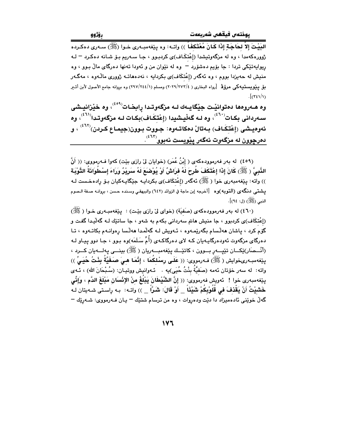الدَيْتَ إِلاَّ لحَاجَةٍ إِذَا كَانَ مُعْتَكِفًا )) واتــه: وه بيّنفهمبــهري خـوا (ﷺ) ســهري دهكـرده .<br>ژوورهکهمدا ، وه له مزگهوتیشدا (إعْتکَاف)ی کردبوو ، جا سـهریم بـۆ شـانه دهکـرد <sup>—</sup> لـه ريوايهتٽِکي ترڊا : جا بۆيم دهشۆرد – وه له نٽوان من و ئهودا تهنها دهرگاي مالٌ بيوو ، وه منیش له حهیزدا بووم ، وه ئهگهر (إعْتكَاف)ى بكردایه ، نهدههاتـه ژوورى مالّـهوه ، مهگـهر بقِ يـنِويستتيهكي مروّفة [رواه البخاري ( ٢٠٢٩/٢٧٣/٤) ومسلم (١/٢٤٤/١٤٤) وه بروانه جامع الأصول لأبن أشير  $\int (r\epsilon)/v$ 

وه هــهروهها دمتوانيْـت جيْگايــهك لــه مزگهوتــدا رِابخـات<sup>(۴۰۹)</sup>، وه خيْزانيــش*ى* سهردانی بکات<sup>(٤٦٠)</sup>، وه لـه گهڵیـشیدا (إعْتَکَـاف)بکـات لـه مزگهوتـدا<sup>(٤٦١)</sup>، وه ئەوەيشى (إِعْتِكَاف) بەتالْ دەكاتـەوە: جـووت بـوون(جيمـاع كـردن) $^{(1\Upsilon)}$  ، و دەرچو<u>ون لە مز</u>گەوت ئەگەر پێويست نەبوو<sup>(٤٦٣)</sup>.

(٤٥٩) له بهر فهرموودهكهي ( إِنْنُ عُمَرٍ) (خوايان ليٌ رازي بيّت) كهوا فـهرمووي: (( أَنَّ الذَّبِيَّ ﴿ ﷺ) كَانَ إِذَا إِعْتَكَفَ طُرِحَ لَهُ فَرَاشٌ أَوْ يُوْضَعَ لَهُ سَرِيْرٌ وَرَاءَ إِسْطُوَانَةُ التَّوْبَة )) واته: پێغهمبەرى خوا (ﷺ) ئەگەر (إعْتكَاف)ى بكردايـه جێگايـەكيان بـۆ رادەخـست لـه يشتي دنگهي (التوبه)وه [أخرجه إبن ماجة في الزوائد (٦٤٢) والبيهقي وسنده حسن ، بروانـه صـفة الـصوم النبي (ﷺ) (ل: ٩٤)].

(٤٦٠) له بهر فهرموودهکهي (صَفيّة) (خواي ليّ رازي بيّت) : پيّغهمبـهري خـوا ( ﷺ) (إعْتكَاف)ي كردبوو ، جا منيش هاتم سەرداني بكهم به شەو ، جا ساتێك لـه گەليدا گفـت و گۆم كرد ، ياشان ھەلّسام بگەرێمەوە ، ئـەويش لـە گەلّمدا ھەلّسا رەوانـەم بكاتـەوە ، تـا دهرگای مزگەوت ئەودەرگاپـەيان كـه لای دەرگاكـەی (أُمِّ سَلَمَه)وه بـوو ، جـا دوو پـيـاو لـه (أَنْسِصَار)ێِكسان تێۑسەر بسوون ، كاتێسك پێغەمبىسەريان (ﷺ) بينسى پەلسەيان كسرد ، ينِغەمبەرىخوايش (ﷺ) فـەرمورى: (( عَلَى رسْلكُمَا ، إِنَّمَا هـيَ صَغَيَّةُ بِنْتُ حُيَـيٍّ )) واته: له سهر خوّتان ئهمه (صَفيَّةُ بِنْتُ حُيَى)يه . ئـهوانيش ووتيـان: (سُـبْحَانَ الله) ، ئـهى بِيّفهمبهرى خوا ! نَهويش فهرمووى: (( إِنَّ الشَّيْطَانَ يَبْلُغُ مِنْ الإِنْسَانِ مَبْلَغَ الدَّم ، وَإِنِّي خَشَيْتُ أَنْ يَقْذفَ في قُلُوْبِكُمْ شَيْئًا \_ أَوْ قَالَ: شَـرّاً \_ )) واتـه: بـه راسـتي شـهيتان لـه گەلٌ خوێنى ئادەمىزاد دا دێت ودەروات ، وە من ترسام شتێك – يـان فـﻪرمووى: شـﻪرێك –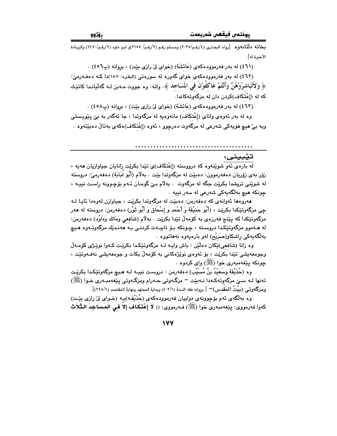بخاته دلّتانهوه [رواه البخاري (٤/رقم/٢٠٣٥) ومسلم رقم (٢/رقم/ ٢١٥٧)و ابـو داود (٢/رقم/٢٤٧٠) والزيـادة الأخبرة له].

(٤٦١) له بهر فهرموودهكهي (عَائشَة) (خواي ليِّ رازي بيّت) ، بروانه (ب٥٦) .

(٤٦٢) له بهر فهرموودهکهي خواي گهوره له سورهتي (البقره: ١٨٧)دا کـه دهفـهرميّ: ﴿ وَلَأَتُبَاشِرُوْهُنَّ وَأَنْتُمْ عَاكَفُوْنَ فِي الْمُسَاجِدِ ﴾. وإنه: وه جووت مـه ن لـه گهلّيانـدا كاتێـك که له (إعْتكَاف)کردن دان له مزگهوتهکاندا.

(٤٦٣) له بهر فهرموودهکهي (عَائشَة) (خواي ليّ رازي بيّت) ، بروانه (ب٤٥٨) .

وه له بهر ئەوەي واتاي (إعْتكَاف) مانەوەيە لە مزگەوتدا ، جا ئەگەر بە بىّ يێويستى وبه بيِّ هيچ هۆيەكى شەرعى له مزگەوت دەرچوو ، ئەوە (إعْتكَاف)ەكەي بەتالٌ دەبێتەوە .

#### تێبينى:

.<br>له بارهي ئهو شوێنهوه که درووسته (إعْتکَاف)ي تێدا بکرێت زانایان جیاوازیان ههیه ، زۆر بەي زۆريان دەفەرموون: دەبێت لە مزگەَوتَدا بێت . بەلاّم (أَبُو لَبَابَة) دەفەرمىؒ: دروستە له شوێنی تریشدا بکرێت جگه له مزگەوت ٠ بهلام بیّ گومـان ئـهم بۆچـوونه راسـت نییـه ، چونکه هيچ بهلگهيهکي شهرعي له سهر نيپه ٠

هەروەها ئەوانەي كە دەڧەرمن: دەبێت لە مزگەوتدا بكرێت ، جياوازن لەوەدا ئايا لـه جي مزگهوتێِكدا بكرێت ، (أُبُو حَنيْفَة وَ أَحْمَد و إِسْحَاق وَ أَبُو ثَوْرٍ) دەفەرمن: دروسته له هەر مزگەوتێکدا کە يێنج فەرزەي بە كۆمەلٌ تێدا بکرێت . بەلام (شَافعى وَمَالك وَدَاوُد) دەفەرمن: له هــهموو مزگهوتێِکدا دروسـته ، چـونکه بـۆ تايبــهت کردنـی بـه ههنـدێك مزگهوتــهوه هـيچ بەلگەيەكى راشكاو(صَرِيْح) لەو بارەيەوە نەھاتووە .

وه زانا (شَافعي)ێِکان دهڵێن : باش واپـه لــه مزگهوتێِکدا بکرێت کـهوا نوێـژي کۆمـهڵ وجومعهیشی تێدا بکرێت ، بۆ ئەوەی نوێژەکانی بە کۆمەڵ بکات و جومعەیشی نەفــەوتێت ، جونکه بێغهمبهري خوا (ﷺ) واي کردوه ٠

وه (حُذَيْفَة وسَعيْدُ بنُ مُسَيَّبٍ) دەفەرمن : دروست نيپـه لـه هـيچ مزگەوتێِكدا بكرێـت تەنھا لــه سـێ مزگەوتەكـەدا نــەبێت – مزگــەوتى حــەرام ومزگــەوتى يێغەمبــەرى خـوا (ﷺ) ومزگـُه وتـي (بَيْتُ المَقدس) $\bigcap$  بروانه فقه السنة (٤٠٢/١) وبداية المجتهد ونهاية المقتصد (٢٢٨/١)].

وه بهالگهي ئهم بۆچوونهي دواپيان فهرموودهکهي (حُذَيْفَه)پـه (خـواي ليٌ رازي بێت) كەوا فەرمووى: يێغەمبەرى خوا (ﷺ) فـﻪرمووى: (( لاَ إعْتكَافَ إلاَ فـى المَسَاجِدَ الـتُّلاَث